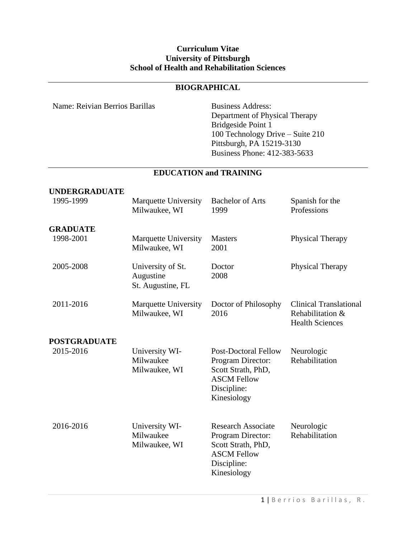#### **Curriculum Vitae University of Pittsburgh School of Health and Rehabilitation Sciences**

# **BIOGRAPHICAL**

Name: Reivian Berrios Barillas Business Address:

Department of Physical Therapy Bridgeside Point 1 100 Technology Drive – Suite 210 Pittsburgh, PA 15219-3130 Business Phone: 412-383-5633

## **EDUCATION and TRAINING**

| <b>UNDERGRADUATE</b><br>1995-1999 | <b>Marquette University</b><br>Milwaukee, WI        | <b>Bachelor of Arts</b><br>1999                                                                                            | Spanish for the<br>Professions                                              |
|-----------------------------------|-----------------------------------------------------|----------------------------------------------------------------------------------------------------------------------------|-----------------------------------------------------------------------------|
| <b>GRADUATE</b><br>1998-2001      | <b>Marquette University</b><br>Milwaukee, WI        | <b>Masters</b><br>2001                                                                                                     | Physical Therapy                                                            |
| 2005-2008                         | University of St.<br>Augustine<br>St. Augustine, FL | Doctor<br>2008                                                                                                             | Physical Therapy                                                            |
| 2011-2016                         | Marquette University<br>Milwaukee, WI               | Doctor of Philosophy<br>2016                                                                                               | <b>Clinical Translational</b><br>Rehabilitation &<br><b>Health Sciences</b> |
| <b>POSTGRADUATE</b>               |                                                     |                                                                                                                            |                                                                             |
| 2015-2016                         | University WI-<br>Milwaukee<br>Milwaukee, WI        | <b>Post-Doctoral Fellow</b><br>Program Director:<br>Scott Strath, PhD,<br><b>ASCM Fellow</b><br>Discipline:<br>Kinesiology | Neurologic<br>Rehabilitation                                                |
| 2016-2016                         | University WI-<br>Milwaukee<br>Milwaukee, WI        | <b>Research Associate</b><br>Program Director:<br>Scott Strath, PhD,<br><b>ASCM Fellow</b><br>Discipline:<br>Kinesiology   | Neurologic<br>Rehabilitation                                                |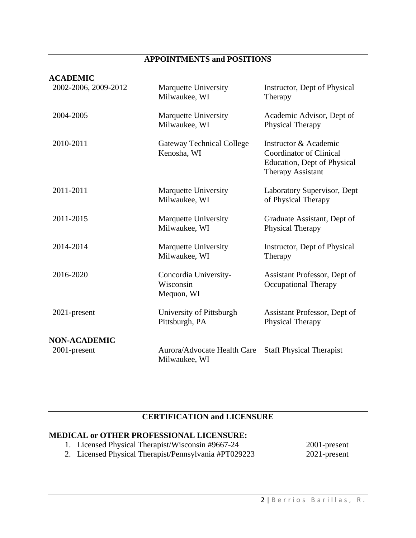# **APPOINTMENTS and POSITIONS**

#### **ACADEMIC**

| 2002-2006, 2009-2012 | <b>Marquette University</b><br>Milwaukee, WI     | Instructor, Dept of Physical<br>Therapy                                                                            |  |
|----------------------|--------------------------------------------------|--------------------------------------------------------------------------------------------------------------------|--|
| 2004-2005            | Marquette University<br>Milwaukee, WI            | Academic Advisor, Dept of<br>Physical Therapy                                                                      |  |
| 2010-2011            | <b>Gateway Technical College</b><br>Kenosha, WI  | Instructor & Academic<br><b>Coordinator of Clinical</b><br>Education, Dept of Physical<br><b>Therapy Assistant</b> |  |
| 2011-2011            | <b>Marquette University</b><br>Milwaukee, WI     | Laboratory Supervisor, Dept<br>of Physical Therapy                                                                 |  |
| 2011-2015            | Marquette University<br>Milwaukee, WI            | Graduate Assistant, Dept of<br><b>Physical Therapy</b>                                                             |  |
| 2014-2014            | <b>Marquette University</b><br>Milwaukee, WI     | Instructor, Dept of Physical<br>Therapy                                                                            |  |
| 2016-2020            | Concordia University-<br>Wisconsin<br>Mequon, WI | Assistant Professor, Dept of<br><b>Occupational Therapy</b>                                                        |  |
| 2021-present         | University of Pittsburgh<br>Pittsburgh, PA       | Assistant Professor, Dept of<br><b>Physical Therapy</b>                                                            |  |
| <b>NON-ACADEMIC</b>  |                                                  |                                                                                                                    |  |
| 2001-present         | Aurora/Advocate Health Care<br>Milwaukee, WI     | <b>Staff Physical Therapist</b>                                                                                    |  |

# **CERTIFICATION and LICENSURE**

# **MEDICAL or OTHER PROFESSIONAL LICENSURE:**

1. Licensed Physical Therapist/Wisconsin #9667-24 2. Licensed Physical Therapist/Pennsylvania #PT029223 2001-present 2021-present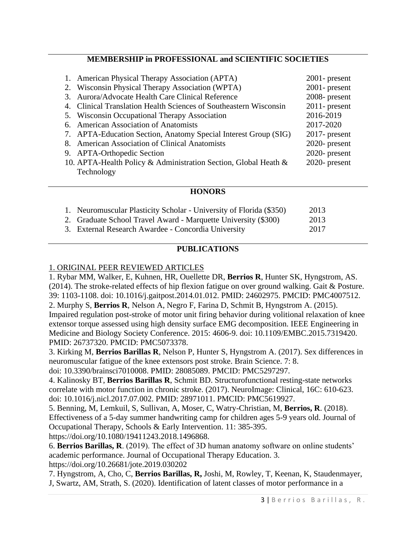### **MEMBERSHIP in PROFESSIONAL and SCIENTIFIC SOCIETIES**

| 1. American Physical Therapy Association (APTA)                   | $2001$ - present |
|-------------------------------------------------------------------|------------------|
| 2. Wisconsin Physical Therapy Association (WPTA)                  | $2001$ - present |
| 3. Aurora/Advocate Health Care Clinical Reference                 | 2008- present    |
| 4. Clinical Translation Health Sciences of Southeastern Wisconsin | $2011$ - present |
| 5. Wisconsin Occupational Therapy Association                     | 2016-2019        |
| 6. American Association of Anatomists                             | 2017-2020        |
| 7. APTA-Education Section, Anatomy Special Interest Group (SIG)   | $2017$ - present |
| 8. American Association of Clinical Anatomists                    | 2020- present    |
| 9. APTA-Orthopedic Section                                        | 2020- present    |
| 10. APTA-Health Policy & Administration Section, Global Heath &   | 2020- present    |
| Technology                                                        |                  |

#### **HONORS**

| 1. Neuromuscular Plasticity Scholar - University of Florida (\$350) | 2013 |
|---------------------------------------------------------------------|------|
| 2. Graduate School Travel Award - Marquette University (\$300)      | 2013 |
| 3. External Research Awardee - Concordia University                 | 2017 |

### **PUBLICATIONS**

#### 1. ORIGINAL PEER REVIEWED ARTICLES

1. Rybar MM, Walker, E, Kuhnen, HR, Ouellette DR, **Berrios R**, Hunter SK, Hyngstrom, AS. (2014). The stroke-related effects of hip flexion fatigue on over ground walking. Gait & Posture. 39: 1103-1108. doi: 10.1016/j.gaitpost.2014.01.012. PMID: 24602975. PMCID: PMC4007512. 2. Murphy S, **Berrios R**, Nelson A, Negro F, Farina D, Schmit B, Hyngstrom A. (2015). Impaired regulation post-stroke of motor unit firing behavior during volitional relaxation of knee extensor torque assessed using high density surface EMG decomposition. IEEE Engineering in Medicine and Biology Society Conference. 2015: 4606-9. doi: 10.1109/EMBC.2015.7319420. PMID: 26737320. PMCID: PMC5073378.

3. Kirking M, **Berrios Barillas R**, Nelson P, Hunter S, Hyngstrom A. (2017). Sex differences in neuromuscular fatigue of the knee extensors post stroke. Brain Science. 7: 8.

doi: 10.3390/brainsci7010008. PMID: 28085089. PMCID: PMC5297297.

4. Kalinosky BT, **Berrios Barillas R**, Schmit BD. Structurofunctional resting-state networks correlate with motor function in chronic stroke. (2017). NeuroImage: Clinical, 16C: 610-623. doi: 10.1016/j.nicl.2017.07.002. PMID: 28971011. PMCID: PMC5619927.

5. Benning, M, Lemkuil, S, Sullivan, A, Moser, C, Watry-Christian, M, **Berrios, R**. (2018). Effectiveness of a 5-day summer handwriting camp for children ages 5-9 years old. Journal of Occupational Therapy, Schools & Early Intervention. 11: 385-395.

https://doi.org/10.1080/19411243.2018.1496868.

6. **Berrios Barillas, R**. (2019). The effect of 3D human anatomy software on online students' academic performance. Journal of Occupational Therapy Education. 3.

https://doi.org/10.26681/jote.2019.030202

7. Hyngstrom, A, Cho, C, **Berrios Barillas, R,** Joshi, M, Rowley, T, Keenan, K, Staudenmayer, J, Swartz, AM, Strath, S. (2020). Identification of latent classes of motor performance in a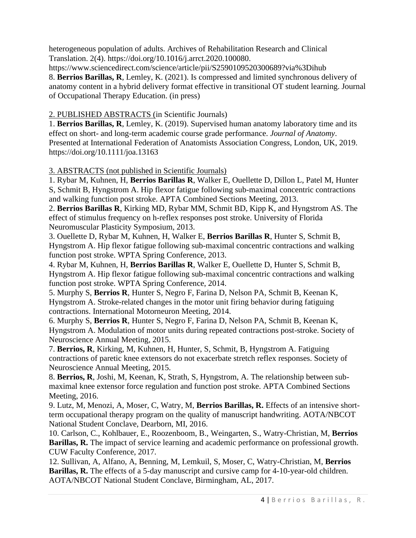heterogeneous population of adults. Archives of Rehabilitation Research and Clinical Translation. 2(4). https://doi.org/10.1016/j.arrct.2020.100080.

https://www.sciencedirect.com/science/article/pii/S2590109520300689?via%3Dihub 8. **Berrios Barillas, R**, Lemley, K. (2021). Is compressed and limited synchronous delivery of anatomy content in a hybrid delivery format effective in transitional OT student learning. Journal of Occupational Therapy Education. (in press)

# 2. PUBLISHED ABSTRACTS (in Scientific Journals)

1. **Berrios Barillas, R**, Lemley, K. (2019). Supervised human anatomy laboratory time and its effect on short- and long-term academic course grade performance. *Journal of Anatomy*. Presented at International Federation of Anatomists Association Congress, London, UK, 2019. https://doi.org/10.1111/joa.13163

3. ABSTRACTS (not published in Scientific Journals)

1. Rybar M, Kuhnen, H, **Berrios Barillas R**, Walker E, Ouellette D, Dillon L, Patel M, Hunter S, Schmit B, Hyngstrom A. Hip flexor fatigue following sub-maximal concentric contractions and walking function post stroke. APTA Combined Sections Meeting, 2013.

2. **Berrios Barillas R**, Kirking MD, Rybar MM, Schmit BD, Kipp K, and Hyngstrom AS. The effect of stimulus frequency on h-reflex responses post stroke. University of Florida Neuromuscular Plasticity Symposium, 2013.

3. Ouellette D, Rybar M, Kuhnen, H, Walker E, **Berrios Barillas R**, Hunter S, Schmit B, Hyngstrom A. Hip flexor fatigue following sub-maximal concentric contractions and walking function post stroke. WPTA Spring Conference, 2013.

4. Rybar M, Kuhnen, H, **Berrios Barillas R**, Walker E, Ouellette D, Hunter S, Schmit B, Hyngstrom A. Hip flexor fatigue following sub-maximal concentric contractions and walking function post stroke. WPTA Spring Conference, 2014.

5. Murphy S, **Berrios R**, Hunter S, Negro F, Farina D, Nelson PA, Schmit B, Keenan K, Hyngstrom A. Stroke-related changes in the motor unit firing behavior during fatiguing contractions. International Motorneuron Meeting, 2014.

6. Murphy S, **Berrios R**, Hunter S, Negro F, Farina D, Nelson PA, Schmit B, Keenan K, Hyngstrom A. Modulation of motor units during repeated contractions post-stroke. Society of Neuroscience Annual Meeting, 2015.

7. **Berrios, R**, Kirking, M, Kuhnen, H, Hunter, S, Schmit, B, Hyngstrom A. Fatiguing contractions of paretic knee extensors do not exacerbate stretch reflex responses. Society of Neuroscience Annual Meeting, 2015.

8. **Berrios, R**, Joshi, M, Keenan, K, Strath, S, Hyngstrom, A. The relationship between submaximal knee extensor force regulation and function post stroke. APTA Combined Sections Meeting, 2016.

9. Lutz, M, Menozi, A, Moser, C, Watry, M, **Berrios Barillas, R.** Effects of an intensive shortterm occupational therapy program on the quality of manuscript handwriting. AOTA/NBCOT National Student Conclave, Dearborn, MI, 2016.

10. Carlson, C., Kohlbauer, E., Roozenboom, B., Weingarten, S., Watry-Christian, M, **Berrios Barillas, R.** The impact of service learning and academic performance on professional growth. CUW Faculty Conference, 2017.

12. Sullivan, A, Alfano, A, Benning, M, Lemkuil, S, Moser, C, Watry-Christian, M, **Berrios Barillas, R.** The effects of a 5-day manuscript and cursive camp for 4-10-year-old children. AOTA/NBCOT National Student Conclave, Birmingham, AL, 2017.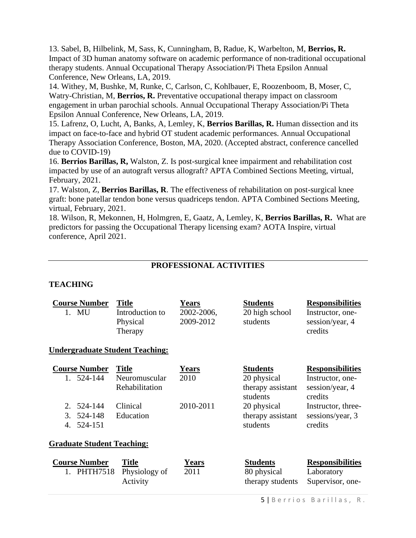13. Sabel, B, Hilbelink, M, Sass, K, Cunningham, B, Radue, K, Warbelton, M, **Berrios, R.** Impact of 3D human anatomy software on academic performance of non-traditional occupational therapy students. Annual Occupational Therapy Association/Pi Theta Epsilon Annual Conference, New Orleans, LA, 2019.

14. Withey, M, Bushke, M, Runke, C, Carlson, C, Kohlbauer, E, Roozenboom, B, Moser, C, Watry-Christian, M, **Berrios, R.** Preventative occupational therapy impact on classroom engagement in urban parochial schools. Annual Occupational Therapy Association/Pi Theta Epsilon Annual Conference, New Orleans, LA, 2019.

15. Lafrenz, O, Lucht, A, Banks, A, Lemley, K, **Berrios Barillas, R.** Human dissection and its impact on face-to-face and hybrid OT student academic performances. Annual Occupational Therapy Association Conference, Boston, MA, 2020. (Accepted abstract, conference cancelled due to COVID-19)

16. **Berrios Barillas, R,** Walston, Z. Is post-surgical knee impairment and rehabilitation cost impacted by use of an autograft versus allograft? APTA Combined Sections Meeting, virtual, February, 2021.

17. Walston, Z, **Berrios Barillas, R**. The effectiveness of rehabilitation on post-surgical knee graft: bone patellar tendon bone versus quadriceps tendon. APTA Combined Sections Meeting, virtual, February, 2021.

18. Wilson, R, Mekonnen, H, Holmgren, E, Gaatz, A, Lemley, K, **Berrios Barillas, R.** What are predictors for passing the Occupational Therapy licensing exam? AOTA Inspire, virtual conference, April 2021.

## **PROFESSIONAL ACTIVITIES**

### **TEACHING**

1. PHTH7518 Physiology of

Activity

| <b>Course Number</b><br>1. MU                   | <b>Title</b><br>Introduction to<br>Physical<br>Therapy | <b>Years</b><br>2002-2006,<br>2009-2012 | <b>Students</b><br>20 high school<br>students                   | <b>Responsibilities</b><br>Instructor, one-<br>session/year, 4<br>credits |
|-------------------------------------------------|--------------------------------------------------------|-----------------------------------------|-----------------------------------------------------------------|---------------------------------------------------------------------------|
| <u> Undergraduate Student Teaching:</u>         |                                                        |                                         |                                                                 |                                                                           |
| <b>Course Number</b><br>1. 524-144              | <b>Title</b><br>Neuromuscular<br>Rehabilitation        | <b>Years</b><br>2010                    | <b>Students</b><br>20 physical<br>therapy assistant<br>students | <b>Responsibilities</b><br>Instructor, one-<br>session/year, 4<br>credits |
| 2.<br>524-144<br>3.<br>524-148<br>524-151<br>4. | Clinical<br>Education                                  | 2010-2011                               | 20 physical<br>therapy assistant<br>students                    | Instructor, three-<br>sessions/year, 3<br>credits                         |
| <b>Graduate Student Teaching:</b>               |                                                        |                                         |                                                                 |                                                                           |
| <b>Course Number</b>                            | Title                                                  | Years                                   | <b>Students</b>                                                 | <b>Responsibilities</b>                                                   |

2011 80 physical

therapy students

Laboratory Supervisor, one-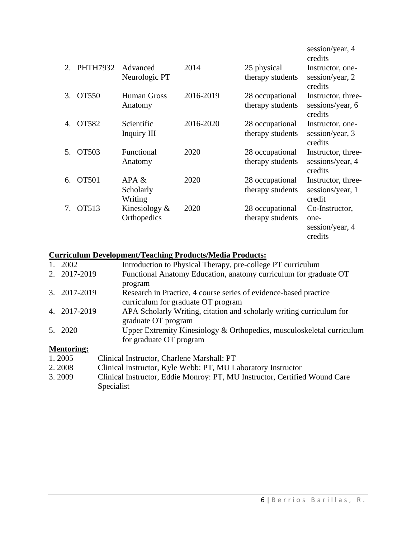|                        |                 |                               |           |                                     | session/year, 4<br>credits                           |
|------------------------|-----------------|-------------------------------|-----------|-------------------------------------|------------------------------------------------------|
| $\mathcal{D}_{\alpha}$ | <b>PHTH7932</b> | Advanced<br>Neurologic PT     | 2014      | 25 physical<br>therapy students     | Instructor, one-<br>session/year, 2<br>credits       |
| 3.                     | OT550           | Human Gross<br>Anatomy        | 2016-2019 | 28 occupational<br>therapy students | Instructor, three-<br>sessions/year, 6<br>credits    |
| 4.                     | OT582           | Scientific<br>Inquiry III     | 2016-2020 | 28 occupational<br>therapy students | Instructor, one-<br>session/year, 3<br>credits       |
| 5.                     | OT503           | Functional<br>Anatomy         | 2020      | 28 occupational<br>therapy students | Instructor, three-<br>sessions/year, 4<br>credits    |
| 6.                     | <b>OT501</b>    | APA &<br>Scholarly<br>Writing | 2020      | 28 occupational<br>therapy students | Instructor, three-<br>sessions/year, 1<br>credit     |
| 7.                     | OT513           | Kinesiology &<br>Orthopedics  | 2020      | 28 occupational<br>therapy students | Co-Instructor,<br>one-<br>session/year, 4<br>credits |

## **Curriculum Development/Teaching Products/Media Products:**

| 1. 2002        | Introduction to Physical Therapy, pre-college PT curriculum           |
|----------------|-----------------------------------------------------------------------|
| 2. 2017-2019   | Functional Anatomy Education, anatomy curriculum for graduate OT      |
|                | program                                                               |
| 3. 2017-2019   | Research in Practice, 4 course series of evidence-based practice      |
|                | curriculum for graduate OT program                                    |
| 4. 2017-2019   | APA Scholarly Writing, citation and scholarly writing curriculum for  |
|                | graduate OT program                                                   |
| 5. 2020        | Upper Extremity Kinesiology & Orthopedics, musculoskeletal curriculum |
|                | for graduate OT program                                               |
| $\blacksquare$ |                                                                       |

### **Mentoring:**

- 1. 2005 Clinical Instructor, Charlene Marshall: PT
- 2. 2008 Clinical Instructor, Kyle Webb: PT, MU Laboratory Instructor<br>3. 2009 Clinical Instructor, Eddie Monroy: PT, MU Instructor, Certified
- 3. 2009 Clinical Instructor, Eddie Monroy: PT, MU Instructor, Certified Wound Care Specialist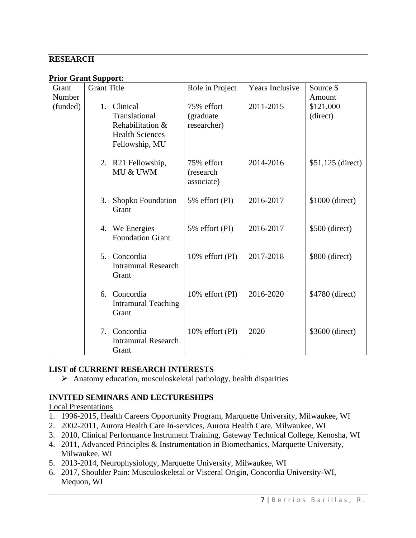### **RESEARCH**

**Prior Grant Support:**

| Grant    | <b>Grant Title</b> |                            | Role in Project    | Years Inclusive | Source \$          |
|----------|--------------------|----------------------------|--------------------|-----------------|--------------------|
| Number   |                    |                            |                    |                 | Amount             |
| (funded) | 1.                 | Clinical                   | 75% effort         | 2011-2015       | \$121,000          |
|          |                    | Translational              | (graduate)         |                 | (direct)           |
|          |                    | Rehabilitation &           | researcher)        |                 |                    |
|          |                    | <b>Health Sciences</b>     |                    |                 |                    |
|          |                    | Fellowship, MU             |                    |                 |                    |
|          |                    | 2. R21 Fellowship,         | 75% effort         | 2014-2016       | $$51,125$ (direct) |
|          |                    | MU & UWM                   | (research          |                 |                    |
|          |                    |                            | associate)         |                 |                    |
|          |                    |                            |                    |                 |                    |
|          | 3.                 | Shopko Foundation          | 5% effort (PI)     | 2016-2017       | \$1000 (direct)    |
|          |                    | Grant                      |                    |                 |                    |
|          |                    | 4. We Energies             | 5% effort (PI)     | 2016-2017       | $$500$ (direct)    |
|          |                    | <b>Foundation Grant</b>    |                    |                 |                    |
|          |                    |                            |                    |                 |                    |
|          |                    | 5. Concordia               | 10% effort (PI)    | 2017-2018       | \$800 (direct)     |
|          |                    | <b>Intramural Research</b> |                    |                 |                    |
|          |                    | Grant                      |                    |                 |                    |
|          |                    | 6. Concordia               |                    | 2016-2020       |                    |
|          |                    | <b>Intramural Teaching</b> | 10% effort (PI)    |                 | \$4780 (direct)    |
|          |                    | Grant                      |                    |                 |                    |
|          |                    |                            |                    |                 |                    |
|          | 7.                 | Concordia                  | $10\%$ effort (PI) | 2020            | \$3600 (direct)    |
|          |                    | <b>Intramural Research</b> |                    |                 |                    |
|          |                    | Grant                      |                    |                 |                    |

### **LIST of CURRENT RESEARCH INTERESTS**

➢ Anatomy education, musculoskeletal pathology, health disparities

### **INVITED SEMINARS AND LECTURESHIPS**

Local Presentations

- 1. 1996-2015, Health Careers Opportunity Program, Marquette University, Milwaukee, WI
- 2. 2002-2011, Aurora Health Care In-services, Aurora Health Care, Milwaukee, WI
- 3. 2010, Clinical Performance Instrument Training, Gateway Technical College, Kenosha, WI
- 4. 2011, Advanced Principles & Instrumentation in Biomechanics, Marquette University, Milwaukee, WI
- 5. 2013-2014, Neurophysiology, Marquette University, Milwaukee, WI
- 6. 2017, Shoulder Pain: Musculoskeletal or Visceral Origin, Concordia University-WI, Mequon, WI